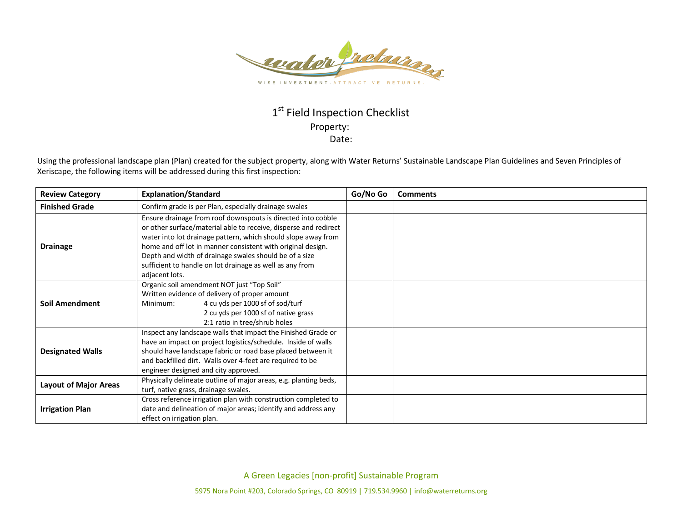

## 1st Field Inspection Checklist Property: Date:

Using the professional landscape plan (Plan) created for the subject property, along with Water Returns' Sustainable Landscape Plan Guidelines and Seven Principles of Xeriscape, the following items will be addressed during this first inspection:

| <b>Review Category</b>       | <b>Explanation/Standard</b>                                                                                                                                                                                                                                                                                                                                                                              | Go/No Go | <b>Comments</b> |
|------------------------------|----------------------------------------------------------------------------------------------------------------------------------------------------------------------------------------------------------------------------------------------------------------------------------------------------------------------------------------------------------------------------------------------------------|----------|-----------------|
| <b>Finished Grade</b>        | Confirm grade is per Plan, especially drainage swales                                                                                                                                                                                                                                                                                                                                                    |          |                 |
| <b>Drainage</b>              | Ensure drainage from roof downspouts is directed into cobble<br>or other surface/material able to receive, disperse and redirect<br>water into lot drainage pattern, which should slope away from<br>home and off lot in manner consistent with original design.<br>Depth and width of drainage swales should be of a size<br>sufficient to handle on lot drainage as well as any from<br>adjacent lots. |          |                 |
| <b>Soil Amendment</b>        | Organic soil amendment NOT just "Top Soil"<br>Written evidence of delivery of proper amount<br>4 cu yds per 1000 sf of sod/turf<br>Minimum:<br>2 cu yds per 1000 sf of native grass<br>2:1 ratio in tree/shrub holes                                                                                                                                                                                     |          |                 |
| <b>Designated Walls</b>      | Inspect any landscape walls that impact the Finished Grade or<br>have an impact on project logistics/schedule. Inside of walls<br>should have landscape fabric or road base placed between it<br>and backfilled dirt. Walls over 4-feet are required to be<br>engineer designed and city approved.                                                                                                       |          |                 |
| <b>Layout of Major Areas</b> | Physically delineate outline of major areas, e.g. planting beds,<br>turf, native grass, drainage swales.                                                                                                                                                                                                                                                                                                 |          |                 |
| <b>Irrigation Plan</b>       | Cross reference irrigation plan with construction completed to<br>date and delineation of major areas; identify and address any<br>effect on irrigation plan.                                                                                                                                                                                                                                            |          |                 |

A Green Legacies [non-profit] Sustainable Program

5975 Nora Point #203, Colorado Springs, CO 80919 | 719.534.9960 | info@waterreturns.org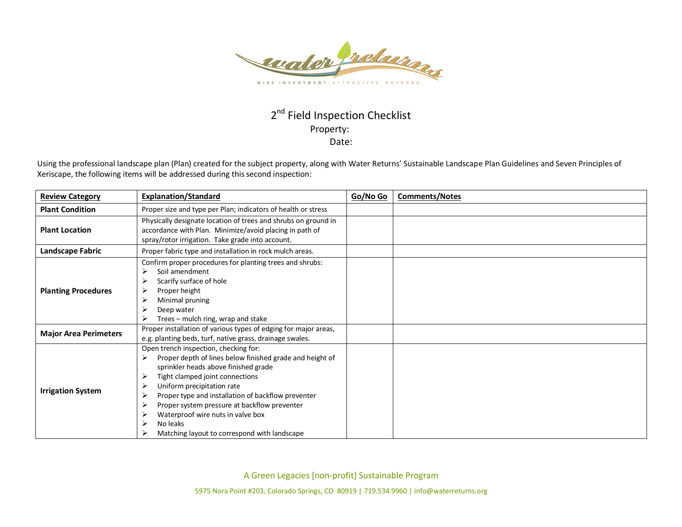

## 2<sup>nd</sup> Field Inspection Checklist Property: Date:

Using the professional landscape plan (Plan) created for the subject property, along with Water Returns' Sustainable Landscape Plan Guidelines and Seven Principles of Xeriscape, the following items will be addressed during this second inspection:

| <b>Review Category</b>       | <b>Explanation/Standard</b>                                                                                                                                                                                                                                                                                                                                                                                            | Go/No Go | <b>Comments/Notes</b> |
|------------------------------|------------------------------------------------------------------------------------------------------------------------------------------------------------------------------------------------------------------------------------------------------------------------------------------------------------------------------------------------------------------------------------------------------------------------|----------|-----------------------|
| <b>Plant Condition</b>       | Proper size and type per Plan; indicators of health or stress                                                                                                                                                                                                                                                                                                                                                          |          |                       |
| <b>Plant Location</b>        | Physically designate location of trees and shrubs on ground in<br>accordance with Plan. Minimize/avoid placing in path of<br>spray/rotor irrigation. Take grade into account.                                                                                                                                                                                                                                          |          |                       |
| <b>Landscape Fabric</b>      | Proper fabric type and installation in rock mulch areas.                                                                                                                                                                                                                                                                                                                                                               |          |                       |
| <b>Planting Procedures</b>   | Confirm proper procedures for planting trees and shrubs:<br>Soil amendment<br>⊳<br>Scarify surface of hole<br>⋗<br>Proper height<br>Minimal pruning<br>Deep water<br>Trees – mulch ring, wrap and stake                                                                                                                                                                                                                |          |                       |
| <b>Major Area Perimeters</b> | Proper installation of various types of edging for major areas,<br>e.g. planting beds, turf, native grass, drainage swales.                                                                                                                                                                                                                                                                                            |          |                       |
| <b>Irrigation System</b>     | Open trench inspection, checking for:<br>Proper depth of lines below finished grade and height of<br>⋗<br>sprinkler heads above finished grade<br>Tight clamped joint connections<br>Uniform precipitation rate<br>Proper type and installation of backflow preventer<br>Proper system pressure at backflow preventer<br>Waterproof wire nuts in valve box<br>No leaks<br>Matching layout to correspond with landscape |          |                       |

A Green Legacies [non-profit] Sustainable Program